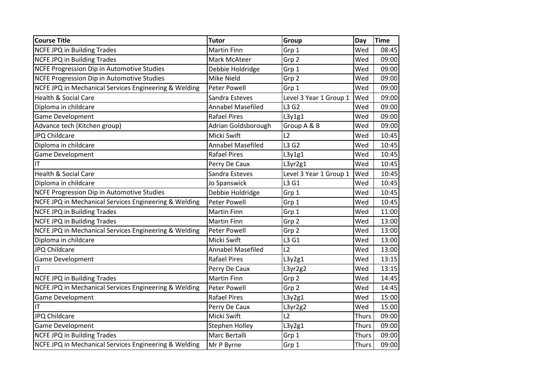| <b>Course Title</b>                                   | Tutor                    | Group                  | Day          | Time  |
|-------------------------------------------------------|--------------------------|------------------------|--------------|-------|
| NCFE JPQ in Building Trades                           | <b>Martin Finn</b>       | Grp 1                  | Wed          | 08:45 |
| NCFE JPQ in Building Trades                           | Mark McAteer             | Grp 2                  | Wed          | 09:00 |
| NCFE Progression Dip in Automotive Studies            | Debbie Holdridge         | Grp 1                  | Wed          | 09:00 |
| NCFE Progression Dip in Automotive Studies            | Mike Nield               | Grp 2                  | Wed          | 09:00 |
| NCFE JPQ in Mechanical Services Engineering & Welding | Peter Powell             | Grp 1                  | Wed          | 09:00 |
| <b>Health &amp; Social Care</b>                       | Sandra Esteves           | Level 3 Year 1 Group 1 | Wed          | 09:00 |
| Diploma in childcare                                  | <b>Annabel Masefiled</b> | L3 G2                  | Wed          | 09:00 |
| <b>Game Development</b>                               | <b>Rafael Pires</b>      | L3y1g1                 | Wed          | 09:00 |
| Advance tech (Kitchen group)                          | Adrian Goldsborough      | Group A & B            | Wed          | 09:00 |
| JPQ Childcare                                         | Micki Swift              | L2                     | Wed          | 10:45 |
| Diploma in childcare                                  | <b>Annabel Masefiled</b> | L3 G2                  | Wed          | 10:45 |
| <b>Game Development</b>                               | <b>Rafael Pires</b>      | L3y1g1                 | Wed          | 10:45 |
| IT                                                    | Perry De Caux            | L3yr2g1                | Wed          | 10:45 |
| <b>Health &amp; Social Care</b>                       | Sandra Esteves           | Level 3 Year 1 Group 1 | Wed          | 10:45 |
| Diploma in childcare                                  | Jo Spanswick             | L3 G1                  | Wed          | 10:45 |
| NCFE Progression Dip in Automotive Studies            | Debbie Holdridge         | Grp 1                  | Wed          | 10:45 |
| NCFE JPQ in Mechanical Services Engineering & Welding | <b>Peter Powell</b>      | Grp 1                  | Wed          | 10:45 |
| NCFE JPQ in Building Trades                           | <b>Martin Finn</b>       | Grp 1                  | Wed          | 11:00 |
| <b>NCFE JPQ in Building Trades</b>                    | <b>Martin Finn</b>       | Grp 2                  | Wed          | 13:00 |
| NCFE JPQ in Mechanical Services Engineering & Welding | Peter Powell             | Grp 2                  | Wed          | 13:00 |
| Diploma in childcare                                  | Micki Swift              | L3 G1                  | Wed          | 13:00 |
| JPQ Childcare                                         | <b>Annabel Masefiled</b> | L2                     | Wed          | 13:00 |
| <b>Game Development</b>                               | <b>Rafael Pires</b>      | L3y2g1                 | Wed          | 13:15 |
| IT                                                    | Perry De Caux            | L3yr2g2                | Wed          | 13:15 |
| <b>NCFE JPQ in Building Trades</b>                    | <b>Martin Finn</b>       | Grp 2                  | Wed          | 14:45 |
| NCFE JPQ in Mechanical Services Engineering & Welding | <b>Peter Powell</b>      | Grp 2                  | Wed          | 14:45 |
| <b>Game Development</b>                               | <b>Rafael Pires</b>      | L3y2g1                 | Wed          | 15:00 |
| IT                                                    | Perry De Caux            | L3yr2g2                | Wed          | 15:00 |
| JPQ Childcare                                         | Micki Swift              | L2                     | <b>Thurs</b> | 09:00 |
| Game Development                                      | Stephen Holley           | L3y2g1                 | <b>Thurs</b> | 09:00 |
| <b>NCFE JPQ in Building Trades</b>                    | Marc Bertalli            | Grp 1                  | <b>Thurs</b> | 09:00 |
| NCFE JPQ in Mechanical Services Engineering & Welding | Mr P Byrne               | Grp 1                  | <b>Thurs</b> | 09:00 |